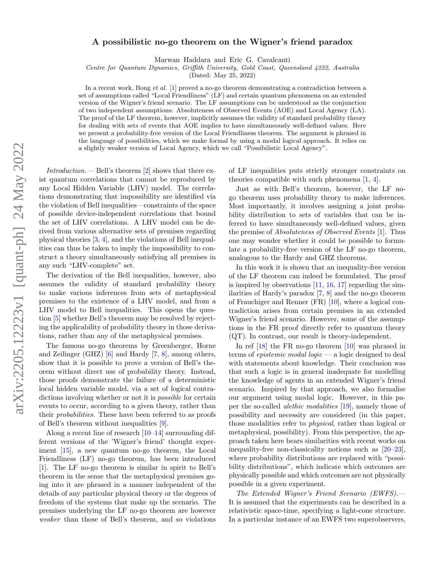## A possibilistic no-go theorem on the Wigner's friend paradox

Marwan Haddara and Eric G. Cavalcanti

Centre for Quantum Dynamics, Griffith University, Gold Coast, Queensland 4222, Australia

(Dated: May 25, 2022)

In a recent work, Bong *et al.* [\[1\]](#page-5-0) proved a no-go theorem demonstrating a contradiction between a set of assumptions called "Local Friendliness" (LF) and certain quantum phenomena on an extended version of the Wigner's friend scenario. The LF assumptions can be understood as the conjunction of two independent assumptions: Absoluteness of Observed Events (AOE) and Local Agency (LA). The proof of the LF theorem, however, implicitly assumes the validity of standard probability theory for dealing with sets of events that AOE implies to have simultaneously well-defined values. Here we present a probability-free version of the Local Friendliness theorem. The argument is phrased in the language of possibilities, which we make formal by using a modal logical approach. It relies on a slightly weaker version of Local Agency, which we call "Possibilistic Local Agency".

Introduction.— Bell's theorem  $[2]$  shows that there exist quantum correlations that cannot be reproduced by any Local Hidden Variable (LHV) model. The correlations demonstrating that impossibility are identified via the violation of Bell inequalities—constraints of the space of possible device-independent correlations that bound the set of LHV correlations. A LHV model can be derived from various alternative sets of premises regarding physical theories [\[3,](#page-5-2) [4\]](#page-5-3), and the violations of Bell inequalities can thus be taken to imply the impossibility to construct a theory simultaneously satisfying all premises in any such "LHV-complete" set.

The derivation of the Bell inequalities, however, also assumes the validity of standard probability theory to make various inferences from sets of metaphysical premises to the existence of a LHV model, and from a LHV model to Bell inequalities. This opens the question [\[5\]](#page-5-4) whether Bell's theorem may be resolved by rejecting the applicability of probability theory in those derivations, rather than any of the metaphysical premises.

The famous no-go theorems by Greenberger, Horne and Zeilinger (GHZ) [\[6\]](#page-5-5) and Hardy [\[7,](#page-5-6) [8\]](#page-5-7), among others, show that it is possible to prove a version of Bell's theorem without direct use of probability theory. Instead, those proofs demonstrate the failure of a deterministic local hidden variable model, via a set of logical contradictions involving whether or not it is *possible* for certain events to occur, according to a given theory, rather than their probabilities. These have been referred to as proofs of Bell's theorem without inequalities [\[9\]](#page-5-8).

Along a recent line of research  $[10-14]$  $[10-14]$  surrounding different versions of the 'Wigner's friend' thought experiment [\[15\]](#page-5-11), a new quantum no-go theorem, the Local Friendliness (LF) no-go theorem, has been introduced [\[1\]](#page-5-0). The LF no-go theorem is similar in spirit to Bell's theorem in the sense that the metaphysical premises going into it are phrased in a manner independent of the details of any particular physical theory or the degrees of freedom of the systems that make up the scenario. The premises underlying the LF no-go theorem are however weaker than those of Bell's theorem, and so violations

of LF inequalities puts strictly stronger constraints on theories compatible with such phenomena [\[1,](#page-5-0) [4\]](#page-5-3).

Just as with Bell's theorem, however, the LF nogo theorem uses probability theory to make inferences. Most importantly, it involves assigning a joint probability distribution to sets of variables that can be inferred to have simultaneously well-defined values, given the premise of Absoluteness of Observed Events [\[1\]](#page-5-0). Thus one may wonder whether it could be possible to formulate a probability-free version of the LF no-go theorem, analogous to the Hardy and GHZ theorems.

In this work it is shown that an inequality-free version of the LF theorem can indeed be formulated. The proof is inspired by observations  $[11, 16, 17]$  $[11, 16, 17]$  $[11, 16, 17]$  $[11, 16, 17]$  $[11, 16, 17]$  regarding the similarities of Hardy's paradox [\[7,](#page-5-6) [8\]](#page-5-7) and the no-go theorem of Frauchiger and Renner (FR) [\[10\]](#page-5-9), where a logical contradiction arises from certain premises in an extended Wigner's friend scenario. However, some of the assumptions in the FR proof directly refer to quantum theory (QT). In contrast, our result is theory-independent.

In ref [\[18\]](#page-5-15) the FR no-go theorem [\[10\]](#page-5-9) was phrased in terms of *epistemic modal logic* — a logic designed to deal with statements about knowledge. Their conclusion was that such a logic is in general inadequate for modelling the knowledge of agents in an extended Wigner's friend scenario. Inspired by that approach, we also formalise our argument using modal logic. However, in this paper the so-called alethic modalities [\[19\]](#page-5-16), namely those of possibility and necessity are considered (in this paper, those modalities refer to physical, rather than logical or metaphysical, possibility). From this perspective, the approach taken here bears similarities with recent works on inequality-free non-classicality notions such as [\[20–](#page-5-17)[23\]](#page-5-18), where probability distributions are replaced with "possibility distributions", which indicate which outcomes are physically possible and which outcomes are not physically possible in a given experiment.

The Extended Wigner's Friend Scenario (EWFS).— It is assumed that the experiments can be described in a relativistic space-time, specifying a light-cone structure. In a particular instance of an EWFS two superobservers,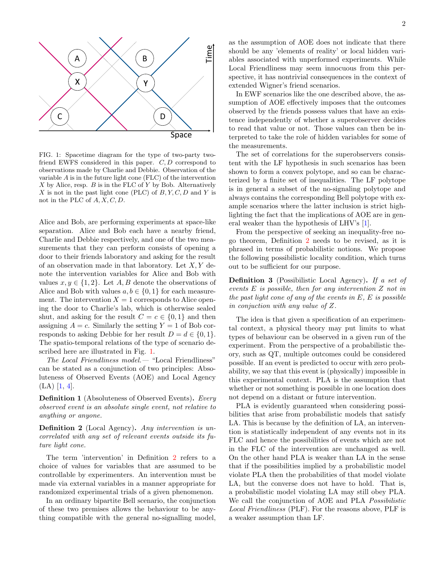

<span id="page-1-0"></span>FIG. 1: Spacetime diagram for the type of two-party twofriend EWFS considered in this paper. C, D correspond to observations made by Charlie and Debbie. Observation of the variable A is in the future light cone (FLC) of the intervention X by Alice, resp.  $B$  is in the FLC of Y by Bob. Alternatively X is not in the past light cone (PLC) of  $B, Y, C, D$  and Y is not in the PLC of  $A, X, C, D$ .

Alice and Bob, are performing experiments at space-like separation. Alice and Bob each have a nearby friend, Charlie and Debbie respectively, and one of the two measurements that they can perform consists of opening a door to their friends laboratory and asking for the result of an observation made in that laboratory. Let  $X, Y$  denote the intervention variables for Alice and Bob with values  $x, y \in \{1, 2\}$ . Let A, B denote the observations of Alice and Bob with values  $a, b \in \{0, 1\}$  for each measurement. The intervention  $X = 1$  corresponds to Alice opening the door to Charlie's lab, which is otherwise sealed shut, and asking for the result  $C = c \in \{0, 1\}$  and then assigning  $A = c$ . Similarly the setting  $Y = 1$  of Bob corresponds to asking Debbie for her result  $D = d \in \{0, 1\}.$ The spatio-temporal relations of the type of scenario described here are illustrated in Fig. [1.](#page-1-0)

The Local Friendliness model.— "Local Friendliness" can be stated as a conjunction of two principles: Absoluteness of Observed Events (AOE) and Local Agency  $(LA)$  [\[1,](#page-5-0) [4\]](#page-5-3).

Definition 1 (Absoluteness of Observed Events). Every observed event is an absolute single event, not relative to anything or anyone.

<span id="page-1-1"></span>Definition 2 (Local Agency). Any intervention is uncorrelated with any set of relevant events outside its future light cone.

The term 'intervention' in Definition [2](#page-1-1) refers to a choice of values for variables that are assumed to be controllable by experimenters. An intervention must be made via external variables in a manner appropriate for randomized experimental trials of a given phenomenon.

In an ordinary bipartite Bell scenario, the conjunction of these two premises allows the behaviour to be anything compatible with the general no-signalling model, as the assumption of AOE does not indicate that there should be any 'elements of reality' or local hidden variables associated with unperformed experiments. While Local Friendliness may seem innocuous from this perspective, it has nontrivial consequences in the context of extended Wigner's friend scenarios.

In EWF scenarios like the one described above, the assumption of AOE effectively imposes that the outcomes observed by the friends possess values that have an existence independently of whether a superobserver decides to read that value or not. Those values can then be interpreted to take the role of hidden variables for some of the measurements.

The set of correlations for the superobservers consistent with the LF hypothesis in such scenarios has been shown to form a convex polytope, and so can be characterized by a finite set of inequalities. The LF polytope is in general a subset of the no-signaling polytope and always contains the corresponding Bell polytope with example scenarios where the latter inclusion is strict highlighting the fact that the implications of AOE are in general weaker than the hypothesis of LHV's [\[1\]](#page-5-0).

From the perspective of seeking an inequality-free nogo theorem, Definition [2](#page-1-1) needs to be revised, as it is phrased in terms of probabilistic notions. We propose the following possibilistic locality condition, which turns out to be sufficient for our purpose.

Definition 3 (Possibilistic Local Agency). If a set of events  $E$  is possible, then for any intervention  $Z$  not in the past light cone of any of the events in  $E, E$  is possible in conjuction with any value of Z.

The idea is that given a specification of an experimental context, a physical theory may put limits to what types of behaviour can be observed in a given run of the experiment. From the perspective of a probabilistic theory, such as QT, multiple outcomes could be considered possible. If an event is predicted to occur with zero probability, we say that this event is (physically) impossible in this experimental context. PLA is the assumption that whether or not something is possible in one location does not depend on a distant or future intervention.

PLA is evidently guaranteed when considering possibilities that arise from probabilistic models that satisfy LA. This is because by the definition of LA, an intervention is statistically independent of any events not in its FLC and hence the possibilities of events which are not in the FLC of the intervention are unchanged as well. On the other hand PLA is weaker than LA in the sense that if the possibilities implied by a probabilistic model violate PLA then the probabilities of that model violate LA, but the converse does not have to hold. That is, a probabilistic model violating LA may still obey PLA. We call the conjunction of AOE and PLA Possibilistic Local Friendliness (PLF). For the reasons above, PLF is a weaker assumption than LF.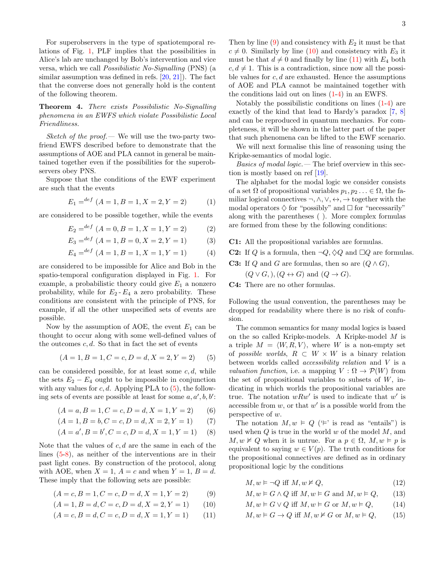For superobservers in the type of spatiotemporal relations of Fig. [1,](#page-1-0) PLF implies that the possibilities in Alice's lab are unchanged by Bob's intervention and vice versa, which we call Possibilistic No-Signalling (PNS) (a similar assumption was defined in refs. [\[20,](#page-5-17) [21\]](#page-5-19)). The fact that the converse does not generally hold is the content of the following theorem.

<span id="page-2-8"></span>Theorem 4. There exists Possibilistic No-Signalling phenomena in an EWFS which violate Possibilistic Local Friendliness.

*Sketch of the proof.* We will use the two-party twofriend EWFS described before to demonstrate that the assumptions of AOE and PLA cannot in general be maintained together even if the possibilities for the superobservers obey PNS.

Suppose that the conditions of the EWF experiment are such that the events

$$
E_1 =^{def} (A = 1, B = 1, X = 2, Y = 2)
$$
 (1)

are considered to be possible together, while the events

$$
E_2 = {}^{def} (A = 0, B = 1, X = 1, Y = 2)
$$
 (2)

$$
E_3 = {}^{def} (A = 1, B = 0, X = 2, Y = 1)
$$
 (3)

$$
E_4 = {^{def}} (A = 1, B = 1, X = 1, Y = 1)
$$
 (4)

are considered to be impossible for Alice and Bob in the spatio-temporal configuration displayed in Fig. [1.](#page-1-0) For example, a probabilistic theory could give  $E_1$  a nonzero probability, while for  $E_2 - E_4$  a zero probability. These conditions are consistent with the principle of PNS, for example, if all the other unspecified sets of events are possible.

Now by the assumption of AOE, the event  $E_1$  can be thought to occur along with some well-defined values of the outcomes  $c, d$ . So that in fact the set of events

$$
(A = 1, B = 1, C = c, D = d, X = 2, Y = 2)
$$
 (5)

can be considered possible, for at least some  $c, d$ , while the sets  $E_2 - E_4$  ought to be impossible in conjunction with any values for  $c, d$ . Applying PLA to  $(5)$ , the following sets of events are possible at least for some  $a, a', b, b'$ :

$$
(A = a, B = 1, C = c, D = d, X = 1, Y = 2)
$$
 (6)

$$
(A = 1, B = b, C = c, D = d, X = 2, Y = 1)
$$
 (7)

$$
(A = a', B = b', C = c, D = d, X = 1, Y = 1)
$$
 (8)

Note that the values of  $c, d$  are the same in each of the lines [\(5](#page-2-0)[-8\)](#page-2-1), as neither of the interventions are in their past light cones. By construction of the protocol, along with AOE, when  $X = 1$ ,  $A = c$  and when  $Y = 1$ ,  $B = d$ . These imply that the following sets are possible:

$$
(A = c, B = 1, C = c, D = d, X = 1, Y = 2)
$$
\n<sup>(9)</sup>

$$
(A = 1, B = d, C = c, D = d, X = 2, Y = 1)
$$
 (10)

$$
(A = c, B = d, C = c, D = d, X = 1, Y = 1)
$$
 (11)

Then by line  $(9)$  and consistency with  $E_2$  it must be that  $c \neq 0$ . Similarly by line [\(10\)](#page-2-3) and consistency with  $E_3$  it must be that  $d \neq 0$  and finally by line [\(11\)](#page-2-4) with  $E_4$  both  $c, d \neq 1$ . This is a contradiction, since now all the possible values for  $c, d$  are exhausted. Hence the assumptions of AOE and PLA cannot be maintained together with the conditions laid out on lines [\(1-](#page-2-5)[4\)](#page-2-6) in an EWFS.

Notably the possibilistic conditions on lines [\(1-](#page-2-5)[4\)](#page-2-6) are exactly of the kind that lead to Hardy's paradox [\[7,](#page-5-6) [8\]](#page-5-7) and can be reproduced in quantum mechanics. For completeness, it will be shown in the latter part of the paper that such phenomena can be lifted to the EWF scenario.

We will next formalise this line of reasoning using the Kripke-semantics of modal logic.

*Basics of modal logic.*  $\qquad$  The brief overview in this section is mostly based on ref [\[19\]](#page-5-16).

<span id="page-2-5"></span>The alphabet for the modal logic we consider consists of a set  $\Omega$  of propositional variables  $p_1, p_2 \ldots \in \Omega$ , the familiar logical connectives  $\neg, \wedge, \vee, \leftrightarrow, \rightarrow$  together with the modal operators  $\diamondsuit$  for "possibly" and  $\Box$  for "necessarily" along with the parentheses ( ). More complex formulas are formed from these by the following conditions:

<span id="page-2-6"></span>C1: All the propositional variables are formulas.

**C2:** If Q is a formula, then  $\neg Q, \Diamond Q$  and  $\Box Q$  are formulas. **C3:** If Q and G are formulas, then so are  $(Q \wedge G)$ ,

$$
(Q \lor G)
$$
,  $(Q \leftrightarrow G)$  and  $(Q \rightarrow G)$ .

C4: There are no other formulas.

Following the usual convention, the parentheses may be dropped for readability where there is no risk of confusion.

<span id="page-2-0"></span>The common semantics for many modal logics is based on the so called Kripke-models. A Kripke-model M is a triple  $M = \langle W, R, V \rangle$ , where W is a non-empty set of possible worlds,  $R \subset W \times W$  is a binary relation between worlds called accessibility relation and V is a *valuation function*, i.e. a mapping  $V : \Omega \to \mathcal{P}(W)$  from the set of propositional variables to subsets of  $W$ , indicating in which worlds the propositional variables are true. The notation  $wRw'$  is used to indicate that  $w'$  is accessible from  $w$ , or that  $w'$  is a possible world from the perspective of w.

<span id="page-2-1"></span>The notation  $M, w \models Q$  ( $\models'$  is read as "entails") is used when  $Q$  is true in the world  $w$  of the model  $M$ , and  $M, w \not\models Q$  when it is untrue. For a  $p \in \Omega$ ,  $M, w \models p$  is equivalent to saying  $w \in V(p)$ . The truth conditions for the propositional connectives are defined as in ordinary propositional logic by the conditions

<span id="page-2-2"></span>
$$
M, w \vDash \neg Q \text{ iff } M, w \nvDash Q, \tag{12}
$$

<span id="page-2-3"></span>
$$
M, w \models G \land Q \text{ iff } M, w \models G \text{ and } M, w \models Q, \qquad (13)
$$

<span id="page-2-7"></span>
$$
M, w \models G \lor Q \text{ iff } M, w \models G \text{ or } M, w \models Q, \tag{14}
$$

<span id="page-2-4"></span>
$$
M, w \models G \to Q \text{ iff } M, w \nvDash G \text{ or } M, w \models Q, \qquad (15)
$$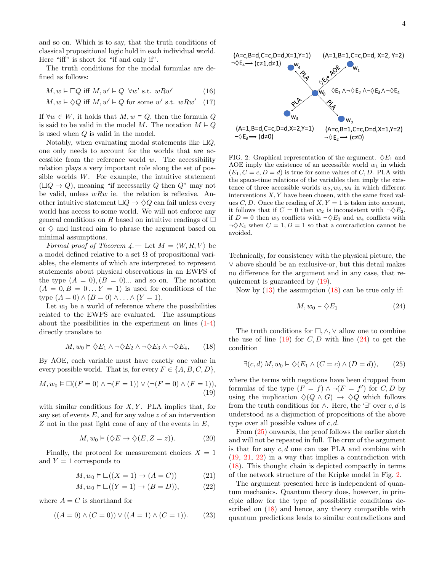and so on. Which is to say, that the truth conditions of classical propositional logic hold in each individual world. Here "iff" is short for "if and only if".

The truth conditions for the modal formulas are defined as follows:

$$
M, w \vDash \Box Q \text{ iff } M, w' \vDash Q \ \forall w' \text{ s.t. } wRw'
$$
 (16)

$$
M, w \models \Diamond Q
$$
 iff  $M, w' \models Q$  for some w' s.t.  $wRw'$  (17)

If  $\forall w \in W$ , it holds that  $M, w \models Q$ , then the formula Q is said to be valid in the model M. The notation  $M \models Q$ is used when Q is valid in the model.

Notably, when evaluating modal statements like  $\Box Q$ . one only needs to account for the worlds that are accessible from the reference world  $w$ . The accessibility relation plays a very important role along the set of possible worlds W. For example, the intuitive statement  $(\Box Q \rightarrow Q)$ , meaning "if necessarily Q then Q" may not be valid, unless  $wRw$  ie. the relation is reflexive. Another intuitive statement  $\Box Q \rightarrow \Diamond Q$  can fail unless every world has access to some world. We will not enforce any general conditions on R based on intuitive readings of  $\Box$ or  $\diamond$  and instead aim to phrase the argument based on minimal assumptions.

Formal proof of Theorem  $4.$  – Let  $M = \langle W, R, V \rangle$  be a model defined relative to a set  $\Omega$  of propositional variables, the elements of which are interpreted to represent statements about physical observations in an EWFS of the type  $(A = 0), (B = 0)$ ... and so on. The notation  $(A = 0, B = 0...Y = 1)$  is used for conditions of the type  $(A = 0) \wedge (B = 0) \wedge \ldots \wedge (Y = 1)$ .

Let  $w_0$  be a world of reference where the possibilities related to the EWFS are evaluated. The assumptions about the possibilities in the experiment on lines [\(1-](#page-2-5)[4\)](#page-2-6) directly translate to

$$
M, w_0 \vDash \Diamond E_1 \land \neg \Diamond E_2 \land \neg \Diamond E_3 \land \neg \Diamond E_4, \qquad (18)
$$

By AOE, each variable must have exactly one value in every possible world. That is, for every  $F \in \{A, B, C, D\},\$ 

$$
M, w_0 \vDash \Box((F = 0) \land \neg(F = 1)) \lor (\neg(F = 0) \land (F = 1)),
$$
\n(19)

with similar conditions for  $X, Y$ . PLA implies that, for any set of events  $E$ , and for any value z of an intervention  $Z$  not in the past light cone of any of the events in  $E$ ,

$$
M, w_0 \vDash (\Diamond E \to \Diamond (E, Z = z)). \tag{20}
$$

Finally, the protocol for measurement choices  $X = 1$ and  $Y = 1$  corresponds to

$$
M, w_0 \vDash \Box((X = 1) \to (A = C))
$$
\n<sup>(21)</sup>

$$
M, w_0 \vDash \Box((Y = 1) \to (B = D)), \tag{22}
$$

where  $A = C$  is shorthand for

$$
((A = 0) \land (C = 0)) \lor ((A = 1) \land (C = 1)).
$$
 (23)



<span id="page-3-6"></span>FIG. 2: Graphical representation of the argument.  $\Diamond E_1$  and AOE imply the existence of an accessible world  $w_1$  in which  $(E_1, C = c, D = d)$  is true for some values of C, D. PLA with the space-time relations of the variables then imply the existence of three accessible worlds  $w_2, w_3, w_4$  in which different interventions  $X, Y$  have been chosen, with the same fixed values  $C, D$ . Once the reading of  $X, Y = 1$  is taken into account, it follows that if  $C = 0$  then  $w_2$  is inconsistent with  $\neg \Diamond E_2$ , if  $D = 0$  then  $w_3$  conflicts with  $\neg \Diamond E_3$  and  $w_4$  conflicts with  $\neg \Diamond E_4$  when  $C = 1, D = 1$  so that a contradiction cannot be avoided.

Technically, for consistency with the physical picture, the ∨ above should be an exclusive-or, but this detail makes no difference for the argument and in any case, that requirement is guaranteed by [\(19\)](#page-3-0).

Now by [\(13\)](#page-2-7) the assumption [\(18\)](#page-3-1) can be true only if:

<span id="page-3-3"></span><span id="page-3-2"></span>
$$
M, w_0 \vDash \diamondsuit E_1 \tag{24}
$$

<span id="page-3-1"></span>The truth conditions for  $\Box, \wedge, \vee$  allow one to combine the use of line  $(19)$  for C, D with line  $(24)$  to get the condition

$$
\exists (c, d) M, w_0 \models \diamondsuit (E_1 \land (C = c) \land (D = d)), \quad (25)
$$

<span id="page-3-0"></span>where the terms with negations have been dropped from formulas of the type  $(F = f) \wedge \neg (F = f')$  for  $C, D$  by using the implication  $\Diamond(Q \land G) \rightarrow \Diamond Q$  which follows from the truth conditions for  $\wedge$ . Here, the '∃' over c, d is understood as a disjunction of propositions of the above type over all possible values of  $c, d$ .

From [\(25\)](#page-3-3) onwards, the proof follows the earlier sketch and will not be repeated in full. The crux of the argument is that for any  $c, d$  one can use PLA and combine with [\(19,](#page-3-0) [21,](#page-3-4) [22\)](#page-3-5) in a way that implies a contradiction with [\(18\)](#page-3-1). This thought chain is depicted compactly in terms of the network structure of the Kripke model in Fig. [2.](#page-3-6)

<span id="page-3-5"></span><span id="page-3-4"></span>The argument presented here is independent of quantum mechanics. Quantum theory does, however, in principle allow for the type of possibilistic conditions described on [\(18\)](#page-3-1) and hence, any theory compatible with quantum predictions leads to similar contradictions and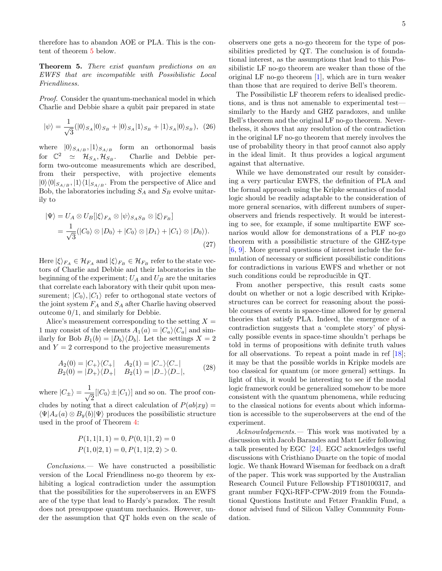therefore has to abandon AOE or PLA. This is the content of theorem [5](#page-4-0) below.

## <span id="page-4-0"></span>Theorem 5. There exist quantum predictions on an EWFS that are incompatible with Possibilistic Local Friendliness.

Proof. Consider the quantum-mechanical model in which Charlie and Debbie share a qubit pair prepared in state

$$
|\psi\rangle = \frac{1}{\sqrt{3}} (|0\rangle_{S_A} |0\rangle_{S_B} + |0\rangle_{S_A} |1\rangle_{S_B} + |1\rangle_{S_A} |0\rangle_{S_B}), \tag{26}
$$

where  $|0\rangle_{S_{A/B}}, |1\rangle_{S_{A/B}}$  form an orthonormal basis for  $\mathbb{C}^2 \simeq \mathcal{H}_{S_A}, \mathcal{H}_{S_B}.$ Charlie and Debbie perform two-outcome measurements which are described, from their perspective, with projective elements  $|0\rangle\langle 0|_{S_{A/B}}$ ,  $|1\rangle\langle 1|_{S_{A/B}}$ . From the perspective of Alice and Bob, the laboratories including  $S_A$  and  $S_B$  evolve unitarily to

$$
\begin{aligned} |\Psi\rangle &= U_A \otimes U_B[|\xi\rangle_{F_A} \otimes |\psi\rangle_{S_A S_B} \otimes |\xi\rangle_{F_B}] \\ &= \frac{1}{\sqrt{3}} (|C_0\rangle \otimes |D_0\rangle + |C_0\rangle \otimes |D_1\rangle + |C_1\rangle \otimes |D_0\rangle). \end{aligned} \tag{27}
$$

Here  $|\xi\rangle_{FA} \in \mathcal{H}_{FA}$  and  $|\xi\rangle_{FB} \in \mathcal{H}_{FB}$  refer to the state vectors of Charlie and Debbie and their laboratories in the beginning of the experiment;  $U_A$  and  $U_B$  are the unitaries that correlate each laboratory with their qubit upon measurement;  $|C_0\rangle, |C_1\rangle$  refer to orthogonal state vectors of the joint system  $F_A$  and  $S_A$  after Charlie having observed outcome 0/1, and similarly for Debbie.

Alice's measurement corresponding to the setting  $X =$ 1 may consist of the elements  $A_1(a) = |C_a\rangle\langle C_a|$  and similarly for Bob  $B_1(b) = |D_b\rangle\langle D_b|$ . Let the settings  $X = 2$ and  $Y = 2$  correspond to the projective measurements

$$
A_2(0) = |C_+\rangle\langle C_+| \qquad A_2(1) = |C_-\rangle\langle C_-|
$$
  
\n
$$
B_2(0) = |D_+\rangle\langle D_+| \qquad B_2(1) = |D_-\rangle\langle D_-|,
$$
\n
$$
(28)
$$

where  $|C_{\pm}\rangle = \frac{1}{4}$  $\frac{1}{2}$ [ $|C_0\rangle$  ±  $|C_1\rangle$ ] and so on. The proof concludes by noting that a direct calculation of  $P(ab|xy) =$  $\langle \Psi | A_x(a) \otimes B_y(b) | \Psi \rangle$  produces the possibilistic structure used in the proof of Theorem [4:](#page-2-8)

$$
P(1, 1|1, 1) = 0, P(0, 1|1, 2) = 0
$$
  

$$
P(1, 0|2, 1) = 0, P(1, 1|2, 2) > 0.
$$

Conclusions.— We have constructed a possibilistic version of the Local Friendliness no-go theorem by exhibiting a logical contradiction under the assumption that the possibilities for the superobservers in an EWFS are of the type that lead to Hardy's paradox. The result does not presuppose quantum mechanics. However, under the assumption that QT holds even on the scale of observers one gets a no-go theorem for the type of possibilities predicted by QT. The conclusion is of foundational interest, as the assumptions that lead to this Possibilistic LF no-go theorem are weaker than those of the original LF no-go theorem [\[1\]](#page-5-0), which are in turn weaker than those that are required to derive Bell's theorem.

The Possibilistic LF theorem refers to idealised predictions, and is thus not amenable to experimental test similarly to the Hardy and GHZ paradoxes, and unlike Bell's theorem and the original LF no-go theorem. Nevertheless, it shows that any resolution of the contradiction in the original LF no-go theorem that merely involves the use of probability theory in that proof cannot also apply in the ideal limit. It thus provides a logical argument against that alternative.

While we have demonstrated our result by considering a very particular EWFS, the definition of PLA and the formal approach using the Kripke semantics of modal logic should be readily adaptable to the consideration of more general scenarios, with different numbers of superobservers and friends respectively. It would be interesting to see, for example, if some multipartite EWF scenarios would allow for demonstrations of a PLF no-go theorem with a possibilistic structure of the GHZ-type [\[6,](#page-5-5) [9\]](#page-5-8). More general questions of interest include the formulation of necessary or sufficient possibilistic conditions for contradictions in various EWFS and whether or not such conditions could be reproducible in QT.

From another perspective, this result casts some doubt on whether or not a logic described with Kripkestructures can be correct for reasoning about the possible courses of events in space-time allowed for by general theories that satisfy PLA. Indeed, the emergence of a contradiction suggests that a 'complete story' of physically possible events in space-time shouldn't perhaps be told in terms of propositions with definite truth values for all observations. To repeat a point made in ref [\[18\]](#page-5-15); it may be that the possible worlds in Kripke models are too classical for quantum (or more general) settings. In light of this, it would be interesting to see if the modal logic framework could be generalized somehow to be more consistent with the quantum phenomena, while reducing to the classical notions for events about which information is accessible to the superobservers at the end of the experiment.

Acknowledgements.— This work was motivated by a discussion with Jacob Barandes and Matt Leifer following a talk presented by EGC [\[24\]](#page-5-20). EGC acknowledges useful discussions with Cristhiano Duarte on the topic of modal logic. We thank Howard Wiseman for feedback on a draft of the paper. This work was supported by the Australian Research Council Future Fellowship FT180100317, and grant number FQXi-RFP-CPW-2019 from the Foundational Questions Institute and Fetzer Franklin Fund, a donor advised fund of Silicon Valley Community Foundation.